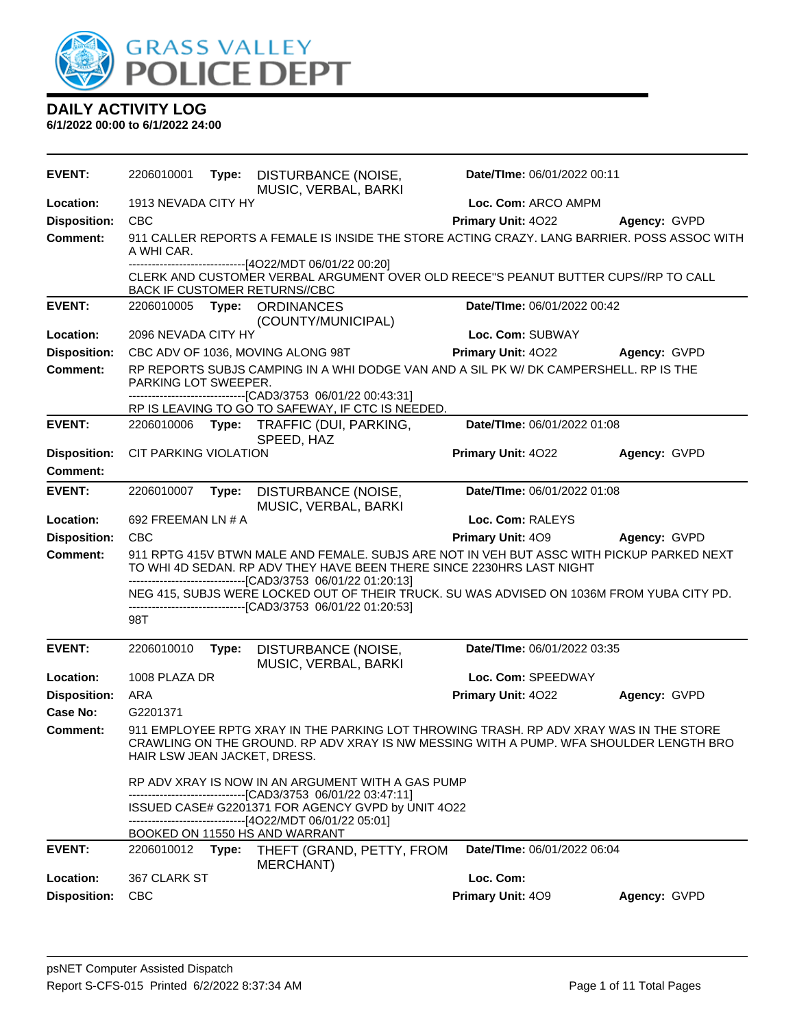

| <b>EVENT:</b>       | 2206010001                   | Type: | DISTURBANCE (NOISE,<br>MUSIC, VERBAL, BARKI                                                                                                                                                                                        | Date/TIme: 06/01/2022 00:11 |              |
|---------------------|------------------------------|-------|------------------------------------------------------------------------------------------------------------------------------------------------------------------------------------------------------------------------------------|-----------------------------|--------------|
| Location:           | 1913 NEVADA CITY HY          |       |                                                                                                                                                                                                                                    | Loc. Com: ARCO AMPM         |              |
| <b>Disposition:</b> | <b>CBC</b>                   |       |                                                                                                                                                                                                                                    | Primary Unit: 4022          | Agency: GVPD |
| <b>Comment:</b>     | A WHI CAR.                   |       | 911 CALLER REPORTS A FEMALE IS INSIDE THE STORE ACTING CRAZY, LANG BARRIER, POSS ASSOC WITH                                                                                                                                        |                             |              |
|                     |                              |       | ------------------------[4O22/MDT 06/01/22 00:20]<br>CLERK AND CUSTOMER VERBAL ARGUMENT OVER OLD REECE"S PEANUT BUTTER CUPS//RP TO CALL<br><b>BACK IF CUSTOMER RETURNS//CBC</b>                                                    |                             |              |
| <b>EVENT:</b>       |                              |       | 2206010005 Type: ORDINANCES<br>(COUNTY/MUNICIPAL)                                                                                                                                                                                  | Date/TIme: 06/01/2022 00:42 |              |
| Location:           | 2096 NEVADA CITY HY          |       |                                                                                                                                                                                                                                    | Loc. Com: SUBWAY            |              |
| <b>Disposition:</b> |                              |       | CBC ADV OF 1036, MOVING ALONG 98T                                                                                                                                                                                                  | <b>Primary Unit: 4022</b>   | Agency: GVPD |
| <b>Comment:</b>     | PARKING LOT SWEEPER.         |       | RP REPORTS SUBJS CAMPING IN A WHI DODGE VAN AND A SIL PK W/ DK CAMPERSHELL. RP IS THE<br>--------------------------[CAD3/3753_06/01/22_00:43:31]                                                                                   |                             |              |
|                     |                              |       | RP IS LEAVING TO GO TO SAFEWAY, IF CTC IS NEEDED.                                                                                                                                                                                  |                             |              |
| <b>EVENT:</b>       |                              |       | 2206010006 Type: TRAFFIC (DUI, PARKING,<br>SPEED, HAZ                                                                                                                                                                              | Date/TIme: 06/01/2022 01:08 |              |
| <b>Disposition:</b> | CIT PARKING VIOLATION        |       |                                                                                                                                                                                                                                    | Primary Unit: 4022          | Agency: GVPD |
| Comment:            |                              |       |                                                                                                                                                                                                                                    |                             |              |
| <b>EVENT:</b>       | 2206010007                   | Type: | DISTURBANCE (NOISE,<br>MUSIC, VERBAL, BARKI                                                                                                                                                                                        | Date/TIme: 06/01/2022 01:08 |              |
| Location:           | 692 FREEMAN LN # A           |       |                                                                                                                                                                                                                                    | Loc. Com: RALEYS            |              |
| <b>Disposition:</b> | <b>CBC</b>                   |       |                                                                                                                                                                                                                                    | Primary Unit: 409           | Agency: GVPD |
| Comment:            |                              |       | 911 RPTG 415V BTWN MALE AND FEMALE. SUBJS ARE NOT IN VEH BUT ASSC WITH PICKUP PARKED NEXT<br>TO WHI 4D SEDAN. RP ADV THEY HAVE BEEN THERE SINCE 2230HRS LAST NIGHT<br>-------------------------------[CAD3/3753_06/01/22_01:20:13] |                             |              |
|                     |                              |       | NEG 415, SUBJS WERE LOCKED OUT OF THEIR TRUCK. SU WAS ADVISED ON 1036M FROM YUBA CITY PD.<br>-------------------------------[CAD3/3753 06/01/22 01:20:53]                                                                          |                             |              |
|                     | 98T                          |       |                                                                                                                                                                                                                                    |                             |              |
| <b>EVENT:</b>       | 2206010010                   | Type: | DISTURBANCE (NOISE,<br>MUSIC, VERBAL, BARKI                                                                                                                                                                                        | Date/TIme: 06/01/2022 03:35 |              |
| Location:           | 1008 PLAZA DR                |       |                                                                                                                                                                                                                                    | Loc. Com: SPEEDWAY          |              |
| <b>Disposition:</b> | ARA                          |       |                                                                                                                                                                                                                                    | Primary Unit: 4022          | Agency: GVPD |
| Case No:            | G2201371                     |       |                                                                                                                                                                                                                                    |                             |              |
| <b>Comment:</b>     | HAIR LSW JEAN JACKET, DRESS. |       | 911 EMPLOYEE RPTG XRAY IN THE PARKING LOT THROWING TRASH. RP ADV XRAY WAS IN THE STORE<br>CRAWLING ON THE GROUND. RP ADV XRAY IS NW MESSING WITH A PUMP. WFA SHOULDER LENGTH BRO                                                   |                             |              |
|                     |                              |       | RP ADV XRAY IS NOW IN AN ARGUMENT WITH A GAS PUMP<br>------------------------------[CAD3/3753 06/01/22 03:47:11]<br>ISSUED CASE# G2201371 FOR AGENCY GVPD by UNIT 4O22                                                             |                             |              |
|                     |                              |       | -------------------------------[4O22/MDT 06/01/22 05:01]<br>BOOKED ON 11550 HS AND WARRANT                                                                                                                                         |                             |              |
| <b>EVENT:</b>       | 2206010012                   | Type: | THEFT (GRAND, PETTY, FROM<br>MERCHANT)                                                                                                                                                                                             | Date/TIme: 06/01/2022 06:04 |              |
| Location:           | 367 CLARK ST                 |       |                                                                                                                                                                                                                                    | Loc. Com:                   |              |
| <b>Disposition:</b> | <b>CBC</b>                   |       |                                                                                                                                                                                                                                    | Primary Unit: 409           | Agency: GVPD |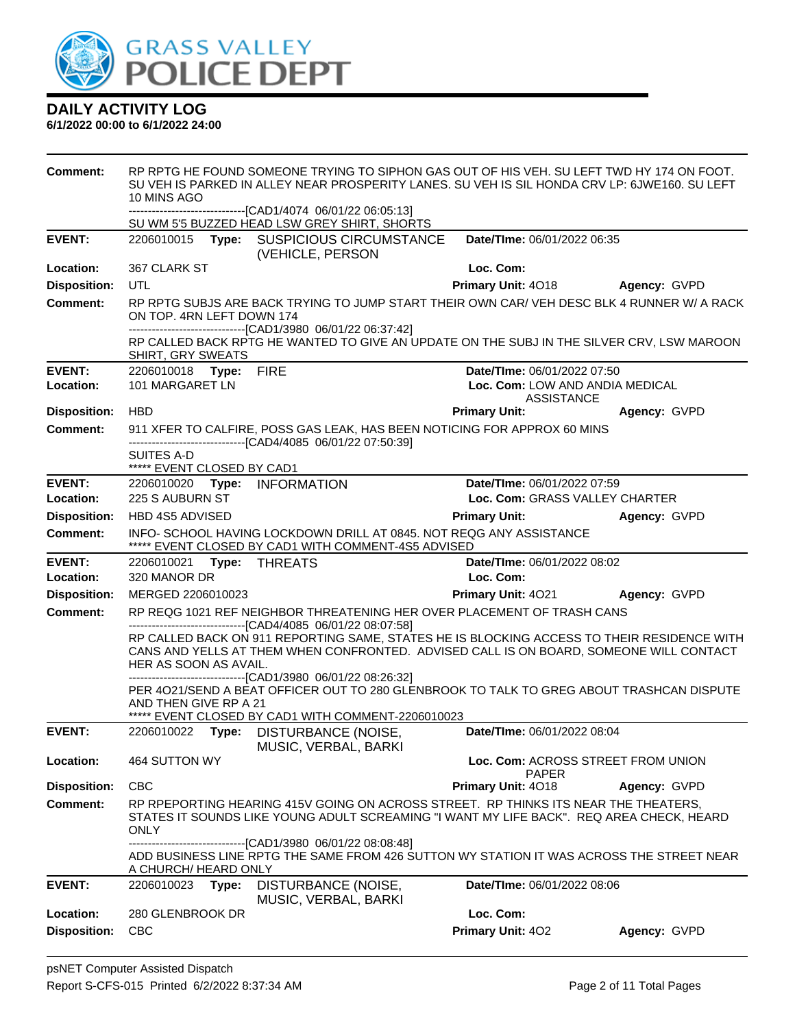

| <b>Comment:</b>     | RP RPTG HE FOUND SOMEONE TRYING TO SIPHON GAS OUT OF HIS VEH. SU LEFT TWD HY 174 ON FOOT.<br>SU VEH IS PARKED IN ALLEY NEAR PROSPERITY LANES. SU VEH IS SIL HONDA CRV LP: 6JWE160. SU LEFT<br>10 MINS AGO<br>---------------------------------[CAD1/4074 06/01/22 06:05:13] |                                                                                                                                                                                                                                                      |                                           |              |  |
|---------------------|-----------------------------------------------------------------------------------------------------------------------------------------------------------------------------------------------------------------------------------------------------------------------------|------------------------------------------------------------------------------------------------------------------------------------------------------------------------------------------------------------------------------------------------------|-------------------------------------------|--------------|--|
|                     |                                                                                                                                                                                                                                                                             | SU WM 5'5 BUZZED HEAD LSW GREY SHIRT, SHORTS                                                                                                                                                                                                         |                                           |              |  |
| <b>EVENT:</b>       |                                                                                                                                                                                                                                                                             | 2206010015 Type: SUSPICIOUS CIRCUMSTANCE<br>(VEHICLE, PERSON                                                                                                                                                                                         | Date/TIme: 06/01/2022 06:35               |              |  |
| Location:           | 367 CLARK ST                                                                                                                                                                                                                                                                |                                                                                                                                                                                                                                                      | Loc. Com:                                 |              |  |
| <b>Disposition:</b> | UTL                                                                                                                                                                                                                                                                         |                                                                                                                                                                                                                                                      | <b>Primary Unit: 4018</b>                 | Agency: GVPD |  |
| Comment:            |                                                                                                                                                                                                                                                                             | RP RPTG SUBJS ARE BACK TRYING TO JUMP START THEIR OWN CAR/ VEH DESC BLK 4 RUNNER W/ A RACK<br>ON TOP. 4RN LEFT DOWN 174<br>-------------------------------[CAD1/3980 06/01/22 06:37:42]                                                              |                                           |              |  |
|                     | SHIRT, GRY SWEATS                                                                                                                                                                                                                                                           | RP CALLED BACK RPTG HE WANTED TO GIVE AN UPDATE ON THE SUBJ IN THE SILVER CRV, LSW MAROON                                                                                                                                                            |                                           |              |  |
| <b>EVENT:</b>       | 2206010018 Type: FIRE                                                                                                                                                                                                                                                       |                                                                                                                                                                                                                                                      | Date/TIme: 06/01/2022 07:50               |              |  |
| Location:           | 101 MARGARET LN                                                                                                                                                                                                                                                             |                                                                                                                                                                                                                                                      | Loc. Com: LOW AND ANDIA MEDICAL           |              |  |
| <b>Disposition:</b> | <b>HBD</b>                                                                                                                                                                                                                                                                  |                                                                                                                                                                                                                                                      | <b>ASSISTANCE</b><br><b>Primary Unit:</b> | Agency: GVPD |  |
| <b>Comment:</b>     |                                                                                                                                                                                                                                                                             | 911 XFER TO CALFIRE, POSS GAS LEAK, HAS BEEN NOTICING FOR APPROX 60 MINS                                                                                                                                                                             |                                           |              |  |
|                     |                                                                                                                                                                                                                                                                             | -------------------------------[CAD4/4085 06/01/22 07:50:39]                                                                                                                                                                                         |                                           |              |  |
|                     | <b>SUITES A-D</b><br>***** EVENT CLOSED BY CAD1                                                                                                                                                                                                                             |                                                                                                                                                                                                                                                      |                                           |              |  |
| <b>EVENT:</b>       | 2206010020 Type: INFORMATION                                                                                                                                                                                                                                                |                                                                                                                                                                                                                                                      | Date/TIme: 06/01/2022 07:59               |              |  |
| Location:           | 225 S AUBURN ST                                                                                                                                                                                                                                                             |                                                                                                                                                                                                                                                      | Loc. Com: GRASS VALLEY CHARTER            |              |  |
| <b>Disposition:</b> | HBD 4S5 ADVISED                                                                                                                                                                                                                                                             |                                                                                                                                                                                                                                                      | <b>Primary Unit:</b>                      | Agency: GVPD |  |
| Comment:            |                                                                                                                                                                                                                                                                             | INFO- SCHOOL HAVING LOCKDOWN DRILL AT 0845. NOT REQG ANY ASSISTANCE<br>***** EVENT CLOSED BY CAD1 WITH COMMENT-4S5 ADVISED                                                                                                                           |                                           |              |  |
|                     |                                                                                                                                                                                                                                                                             |                                                                                                                                                                                                                                                      |                                           |              |  |
| <b>EVENT:</b>       | 2206010021 Type: THREATS                                                                                                                                                                                                                                                    |                                                                                                                                                                                                                                                      | Date/TIme: 06/01/2022 08:02               |              |  |
| Location:           | 320 MANOR DR                                                                                                                                                                                                                                                                |                                                                                                                                                                                                                                                      | Loc. Com:                                 |              |  |
| <b>Disposition:</b> | MERGED 2206010023                                                                                                                                                                                                                                                           |                                                                                                                                                                                                                                                      | <b>Primary Unit: 4021</b>                 | Agency: GVPD |  |
| <b>Comment:</b>     |                                                                                                                                                                                                                                                                             | RP REQG 1021 REF NEIGHBOR THREATENING HER OVER PLACEMENT OF TRASH CANS                                                                                                                                                                               |                                           |              |  |
|                     | HER AS SOON AS AVAIL.                                                                                                                                                                                                                                                       | -------------------------------[CAD4/4085 06/01/22 08:07:58]<br>RP CALLED BACK ON 911 REPORTING SAME, STATES HE IS BLOCKING ACCESS TO THEIR RESIDENCE WITH<br>CANS AND YELLS AT THEM WHEN CONFRONTED. ADVISED CALL IS ON BOARD, SOMEONE WILL CONTACT |                                           |              |  |
|                     | AND THEN GIVE RP A 21                                                                                                                                                                                                                                                       | ----------------------------------[CAD1/3980 06/01/22 08:26:32]<br>PER 4021/SEND A BEAT OFFICER OUT TO 280 GLENBROOK TO TALK TO GREG ABOUT TRASHCAN DISPUTE                                                                                          |                                           |              |  |
| <b>EVENT:</b>       |                                                                                                                                                                                                                                                                             | ***** EVENT CLOSED BY CAD1 WITH COMMENT-2206010023<br>2206010022 Type: DISTURBANCE (NOISE,                                                                                                                                                           | Date/TIme: 06/01/2022 08:04               |              |  |
| Location:           | 464 SUTTON WY                                                                                                                                                                                                                                                               | MUSIC, VERBAL, BARKI                                                                                                                                                                                                                                 | Loc. Com: ACROSS STREET FROM UNION        |              |  |
| <b>Disposition:</b> | <b>CBC</b>                                                                                                                                                                                                                                                                  |                                                                                                                                                                                                                                                      | <b>PAPER</b><br>Primary Unit: 4018        | Agency: GVPD |  |
| <b>Comment:</b>     | <b>ONLY</b>                                                                                                                                                                                                                                                                 | RP RPEPORTING HEARING 415V GOING ON ACROSS STREET. RP THINKS ITS NEAR THE THEATERS,<br>STATES IT SOUNDS LIKE YOUNG ADULT SCREAMING "I WANT MY LIFE BACK". REQ AREA CHECK, HEARD                                                                      |                                           |              |  |
|                     | A CHURCH/ HEARD ONLY                                                                                                                                                                                                                                                        | -----------------[CAD1/3980_06/01/22_08:08:48]<br>ADD BUSINESS LINE RPTG THE SAME FROM 426 SUTTON WY STATION IT WAS ACROSS THE STREET NEAR                                                                                                           |                                           |              |  |
| <b>EVENT:</b>       | 2206010023<br>Type:                                                                                                                                                                                                                                                         | DISTURBANCE (NOISE,                                                                                                                                                                                                                                  | <b>Date/TIme: 06/01/2022 08:06</b>        |              |  |
| Location:           | 280 GLENBROOK DR                                                                                                                                                                                                                                                            | MUSIC, VERBAL, BARKI                                                                                                                                                                                                                                 | Loc. Com:                                 |              |  |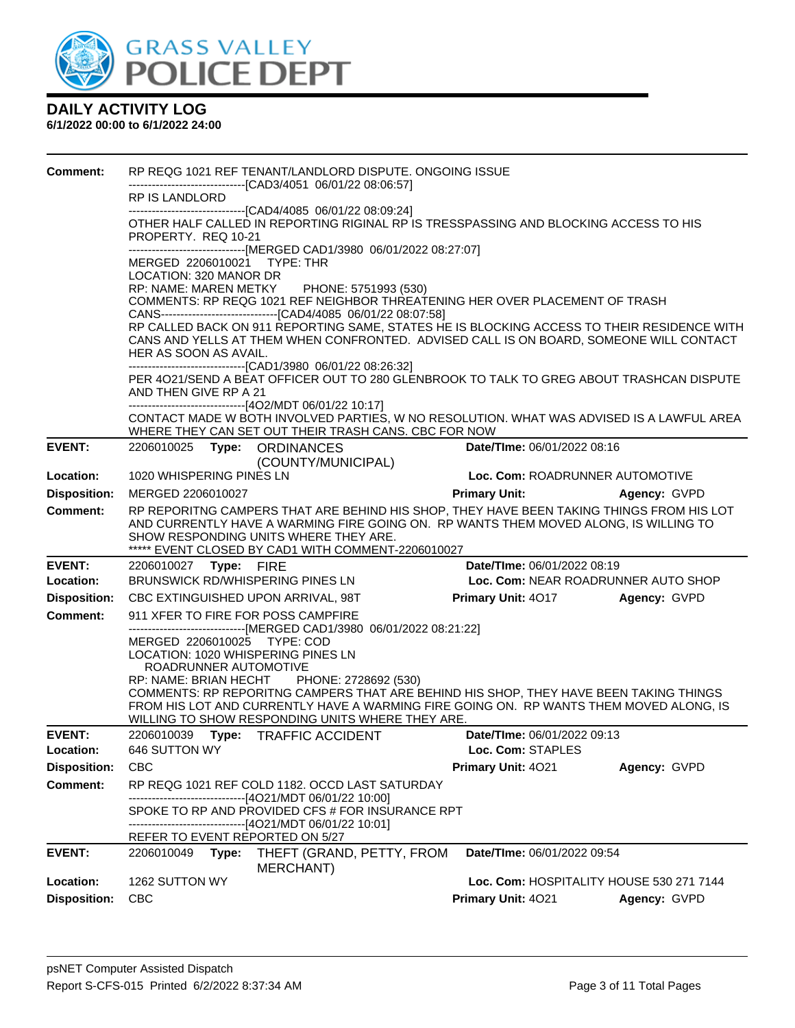

| Comment:            |                                                             | RP REQG 1021 REF TENANT/LANDLORD DISPUTE. ONGOING ISSUE                                                                                                                         |                                          |              |  |  |  |
|---------------------|-------------------------------------------------------------|---------------------------------------------------------------------------------------------------------------------------------------------------------------------------------|------------------------------------------|--------------|--|--|--|
|                     | RP IS LANDLORD                                              | -------------------------------[CAD3/4051 06/01/22 08:06:57]                                                                                                                    |                                          |              |  |  |  |
|                     |                                                             | -------------------------------[CAD4/4085 06/01/22 08:09:24]                                                                                                                    |                                          |              |  |  |  |
|                     | PROPERTY. REQ 10-21                                         | OTHER HALF CALLED IN REPORTING RIGINAL RP IS TRESSPASSING AND BLOCKING ACCESS TO HIS                                                                                            |                                          |              |  |  |  |
|                     |                                                             | ------------------------------[MERGED CAD1/3980 06/01/2022 08:27:07]                                                                                                            |                                          |              |  |  |  |
|                     | MERGED 2206010021 TYPE: THR<br>LOCATION: 320 MANOR DR       |                                                                                                                                                                                 |                                          |              |  |  |  |
|                     | RP: NAME: MAREN METKY PHONE: 5751993 (530)                  |                                                                                                                                                                                 |                                          |              |  |  |  |
|                     |                                                             | COMMENTS: RP REQG 1021 REF NEIGHBOR THREATENING HER OVER PLACEMENT OF TRASH<br>CANS--------------------------------[CAD4/4085 06/01/22 08:07:58]                                |                                          |              |  |  |  |
|                     |                                                             | RP CALLED BACK ON 911 REPORTING SAME, STATES HE IS BLOCKING ACCESS TO THEIR RESIDENCE WITH                                                                                      |                                          |              |  |  |  |
|                     |                                                             | CANS AND YELLS AT THEM WHEN CONFRONTED. ADVISED CALL IS ON BOARD, SOMEONE WILL CONTACT                                                                                          |                                          |              |  |  |  |
|                     | HER AS SOON AS AVAIL.                                       | ------------------------------[CAD1/3980 06/01/22 08:26:32]                                                                                                                     |                                          |              |  |  |  |
|                     |                                                             | PER 4021/SEND A BEAT OFFICER OUT TO 280 GLENBROOK TO TALK TO GREG ABOUT TRASHCAN DISPUTE                                                                                        |                                          |              |  |  |  |
|                     | AND THEN GIVE RP A 21                                       | -------------------------------[4O2/MDT 06/01/22 10:17]                                                                                                                         |                                          |              |  |  |  |
|                     |                                                             | CONTACT MADE W BOTH INVOLVED PARTIES, W NO RESOLUTION. WHAT WAS ADVISED IS A LAWFUL AREA                                                                                        |                                          |              |  |  |  |
| <b>EVENT:</b>       | 2206010025 Type: ORDINANCES                                 | WHERE THEY CAN SET OUT THEIR TRASH CANS. CBC FOR NOW                                                                                                                            | Date/TIme: 06/01/2022 08:16              |              |  |  |  |
|                     |                                                             | (COUNTY/MUNICIPAL)                                                                                                                                                              |                                          |              |  |  |  |
| Location:           | 1020 WHISPERING PINES LN                                    |                                                                                                                                                                                 | Loc. Com: ROADRUNNER AUTOMOTIVE          |              |  |  |  |
| <b>Disposition:</b> | MERGED 2206010027                                           |                                                                                                                                                                                 | <b>Primary Unit:</b>                     | Agency: GVPD |  |  |  |
| <b>Comment:</b>     |                                                             | RP REPORITNG CAMPERS THAT ARE BEHIND HIS SHOP, THEY HAVE BEEN TAKING THINGS FROM HIS LOT                                                                                        |                                          |              |  |  |  |
|                     |                                                             | AND CURRENTLY HAVE A WARMING FIRE GOING ON. RP WANTS THEM MOVED ALONG, IS WILLING TO<br>SHOW RESPONDING UNITS WHERE THEY ARE.                                                   |                                          |              |  |  |  |
|                     |                                                             | ***** EVENT CLOSED BY CAD1 WITH COMMENT-2206010027                                                                                                                              |                                          |              |  |  |  |
| <b>EVENT:</b>       | 2206010027    Type: FIRE                                    |                                                                                                                                                                                 | Date/TIme: 06/01/2022 08:19              |              |  |  |  |
| Location:           | BRUNSWICK RD/WHISPERING PINES LN                            |                                                                                                                                                                                 | Loc. Com: NEAR ROADRUNNER AUTO SHOP      |              |  |  |  |
| <b>Disposition:</b> | CBC EXTINGUISHED UPON ARRIVAL, 98T                          |                                                                                                                                                                                 | <b>Primary Unit: 4017</b>                | Agency: GVPD |  |  |  |
| <b>Comment:</b>     | 911 XFER TO FIRE FOR POSS CAMPFIRE                          | ------------------------------[MERGED CAD1/3980 06/01/2022 08:21:22]                                                                                                            |                                          |              |  |  |  |
|                     | MERGED 2206010025 TYPE: COD                                 |                                                                                                                                                                                 |                                          |              |  |  |  |
|                     | LOCATION: 1020 WHISPERING PINES LN<br>ROADRUNNER AUTOMOTIVE |                                                                                                                                                                                 |                                          |              |  |  |  |
|                     | <b>RP: NAME: BRIAN HECHT</b>                                | PHONE: 2728692 (530)                                                                                                                                                            |                                          |              |  |  |  |
|                     |                                                             | COMMENTS: RP REPORITNG CAMPERS THAT ARE BEHIND HIS SHOP, THEY HAVE BEEN TAKING THINGS<br>FROM HIS LOT AND CURRENTLY HAVE A WARMING FIRE GOING ON. RP WANTS THEM MOVED ALONG, IS |                                          |              |  |  |  |
|                     |                                                             | WILLING TO SHOW RESPONDING UNITS WHERE THEY ARE.                                                                                                                                |                                          |              |  |  |  |
| <b>EVENT:</b>       | 2206010039                                                  | Type: TRAFFIC ACCIDENT                                                                                                                                                          | Date/TIme: 06/01/2022 09:13              |              |  |  |  |
| Location:           | 646 SUTTON WY                                               |                                                                                                                                                                                 | Loc. Com: STAPLES                        |              |  |  |  |
| <b>Disposition:</b> | <b>CBC</b>                                                  |                                                                                                                                                                                 | Primary Unit: 4021                       | Agency: GVPD |  |  |  |
| <b>Comment:</b>     |                                                             | RP REQG 1021 REF COLD 1182. OCCD LAST SATURDAY<br>-------------------------[4O21/MDT 06/01/22 10:00]                                                                            |                                          |              |  |  |  |
|                     |                                                             | SPOKE TO RP AND PROVIDED CFS # FOR INSURANCE RPT                                                                                                                                |                                          |              |  |  |  |
|                     |                                                             | ------------------------------[4O21/MDT 06/01/22 10:01]                                                                                                                         |                                          |              |  |  |  |
| <b>EVENT:</b>       | REFER TO EVENT REPORTED ON 5/27<br>2206010049<br>Type:      | THEFT (GRAND, PETTY, FROM                                                                                                                                                       | Date/TIme: 06/01/2022 09:54              |              |  |  |  |
|                     |                                                             | <b>MERCHANT</b> )                                                                                                                                                               |                                          |              |  |  |  |
| Location:           | 1262 SUTTON WY                                              |                                                                                                                                                                                 | Loc. Com: HOSPITALITY HOUSE 530 271 7144 |              |  |  |  |
| <b>Disposition:</b> | <b>CBC</b>                                                  |                                                                                                                                                                                 | Primary Unit: 4021                       | Agency: GVPD |  |  |  |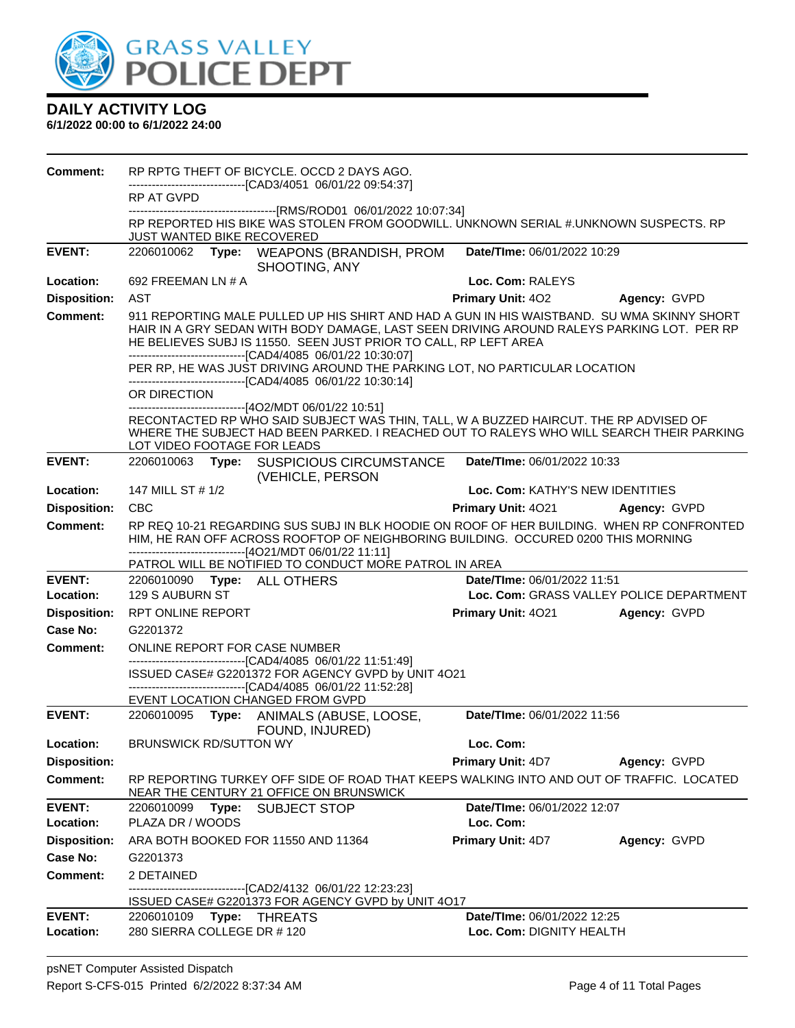

| <b>Comment:</b>                 |                               |                                                                                                                                                                                                                                                                                                                             |                                  | RP RPTG THEFT OF BICYCLE. OCCD 2 DAYS AGO. |  |  |  |
|---------------------------------|-------------------------------|-----------------------------------------------------------------------------------------------------------------------------------------------------------------------------------------------------------------------------------------------------------------------------------------------------------------------------|----------------------------------|--------------------------------------------|--|--|--|
|                                 | RP AT GVPD                    | -------------------------------[CAD3/4051 06/01/22 09:54:37]                                                                                                                                                                                                                                                                |                                  |                                            |  |  |  |
|                                 |                               | RP REPORTED HIS BIKE WAS STOLEN FROM GOODWILL. UNKNOWN SERIAL #.UNKNOWN SUSPECTS. RP                                                                                                                                                                                                                                        |                                  |                                            |  |  |  |
|                                 | JUST WANTED BIKE RECOVERED    |                                                                                                                                                                                                                                                                                                                             |                                  |                                            |  |  |  |
| <b>EVENT:</b>                   |                               | 2206010062 Type: WEAPONS (BRANDISH, PROM<br>SHOOTING, ANY                                                                                                                                                                                                                                                                   | Date/TIme: 06/01/2022 10:29      |                                            |  |  |  |
| Location:                       | 692 FREEMAN LN # A            |                                                                                                                                                                                                                                                                                                                             | Loc. Com: RALEYS                 |                                            |  |  |  |
| <b>Disposition:</b>             | AST                           |                                                                                                                                                                                                                                                                                                                             | <b>Primary Unit: 402</b>         | Agency: GVPD                               |  |  |  |
| <b>Comment:</b>                 |                               | 911 REPORTING MALE PULLED UP HIS SHIRT AND HAD A GUN IN HIS WAISTBAND. SU WMA SKINNY SHORT<br>HAIR IN A GRY SEDAN WITH BODY DAMAGE, LAST SEEN DRIVING AROUND RALEYS PARKING LOT. PER RP<br>HE BELIEVES SUBJ IS 11550. SEEN JUST PRIOR TO CALL, RP LEFT AREA<br>-------------------------------[CAD4/4085 06/01/22 10:30:07] |                                  |                                            |  |  |  |
|                                 |                               | PER RP, HE WAS JUST DRIVING AROUND THE PARKING LOT, NO PARTICULAR LOCATION<br>-------------------------------[CAD4/4085 06/01/22 10:30:14]                                                                                                                                                                                  |                                  |                                            |  |  |  |
|                                 | OR DIRECTION                  | ------------------------------[4O2/MDT 06/01/22 10:51]                                                                                                                                                                                                                                                                      |                                  |                                            |  |  |  |
|                                 | LOT VIDEO FOOTAGE FOR LEADS   | RECONTACTED RP WHO SAID SUBJECT WAS THIN, TALL, W A BUZZED HAIRCUT. THE RP ADVISED OF<br>WHERE THE SUBJECT HAD BEEN PARKED. I REACHED OUT TO RALEYS WHO WILL SEARCH THEIR PARKING                                                                                                                                           |                                  |                                            |  |  |  |
| <b>EVENT:</b>                   |                               | 2206010063 Type: SUSPICIOUS CIRCUMSTANCE<br>(VEHICLE, PERSON                                                                                                                                                                                                                                                                | Date/TIme: 06/01/2022 10:33      |                                            |  |  |  |
| Location:                       | 147 MILL ST # 1/2             |                                                                                                                                                                                                                                                                                                                             | Loc. Com: KATHY'S NEW IDENTITIES |                                            |  |  |  |
| <b>Disposition:</b>             | <b>CBC</b>                    |                                                                                                                                                                                                                                                                                                                             | <b>Primary Unit: 4021</b>        | Agency: GVPD                               |  |  |  |
| <b>Comment:</b>                 |                               | RP REQ 10-21 REGARDING SUS SUBJ IN BLK HOODIE ON ROOF OF HER BUILDING. WHEN RP CONFRONTED<br>HIM, HE RAN OFF ACROSS ROOFTOP OF NEIGHBORING BUILDING. OCCURED 0200 THIS MORNING<br>------------------------------[4O21/MDT 06/01/22 11:11]                                                                                   |                                  |                                            |  |  |  |
|                                 |                               | PATROL WILL BE NOTIFIED TO CONDUCT MORE PATROL IN AREA                                                                                                                                                                                                                                                                      |                                  |                                            |  |  |  |
| <b>EVENT:</b>                   | 2206010090 Type: ALL OTHERS   |                                                                                                                                                                                                                                                                                                                             | Date/TIme: 06/01/2022 11:51      |                                            |  |  |  |
| Location:                       | 129 S AUBURN ST               |                                                                                                                                                                                                                                                                                                                             |                                  | Loc. Com: GRASS VALLEY POLICE DEPARTMENT   |  |  |  |
| <b>Disposition:</b>             | <b>RPT ONLINE REPORT</b>      |                                                                                                                                                                                                                                                                                                                             | <b>Primary Unit: 4021</b>        | Agency: GVPD                               |  |  |  |
| <b>Case No:</b>                 | G2201372                      |                                                                                                                                                                                                                                                                                                                             |                                  |                                            |  |  |  |
| Comment:                        | ONLINE REPORT FOR CASE NUMBER | -------------------------------[CAD4/4085 06/01/22 11:51:49]                                                                                                                                                                                                                                                                |                                  |                                            |  |  |  |
|                                 |                               | ISSUED CASE# G2201372 FOR AGENCY GVPD by UNIT 4O21<br>-------------------------------[CAD4/4085 06/01/22 11:52:28]                                                                                                                                                                                                          |                                  |                                            |  |  |  |
|                                 |                               | EVENT LOCATION CHANGED FROM GVPD                                                                                                                                                                                                                                                                                            |                                  |                                            |  |  |  |
| <b>EVENT:</b>                   |                               | 2206010095 Type: ANIMALS (ABUSE, LOOSE,<br>FOUND, INJURED)                                                                                                                                                                                                                                                                  | Date/TIme: 06/01/2022 11:56      |                                            |  |  |  |
| <b>Location:</b>                | BRUNSWICK RD/SUTTON WY        |                                                                                                                                                                                                                                                                                                                             | Loc. Com:                        |                                            |  |  |  |
| <b>Disposition:</b>             |                               |                                                                                                                                                                                                                                                                                                                             | <b>Primary Unit: 4D7</b>         | Agency: GVPD                               |  |  |  |
| <b>Comment:</b>                 |                               | RP REPORTING TURKEY OFF SIDE OF ROAD THAT KEEPS WALKING INTO AND OUT OF TRAFFIC. LOCATED<br>NEAR THE CENTURY 21 OFFICE ON BRUNSWICK                                                                                                                                                                                         |                                  |                                            |  |  |  |
| <b>EVENT:</b>                   | 2206010099<br>Type:           | <b>SUBJECT STOP</b>                                                                                                                                                                                                                                                                                                         | Date/TIme: 06/01/2022 12:07      |                                            |  |  |  |
| Location:                       | PLAZA DR / WOODS              |                                                                                                                                                                                                                                                                                                                             | Loc. Com:                        |                                            |  |  |  |
| <b>Disposition:</b><br>Case No: |                               | ARA BOTH BOOKED FOR 11550 AND 11364                                                                                                                                                                                                                                                                                         | <b>Primary Unit: 4D7</b>         | Agency: GVPD                               |  |  |  |
|                                 | G2201373                      |                                                                                                                                                                                                                                                                                                                             |                                  |                                            |  |  |  |
| Comment:                        | 2 DETAINED                    | -------------------------[CAD2/4132_06/01/22_12:23:23]<br>ISSUED CASE# G2201373 FOR AGENCY GVPD by UNIT 4O17                                                                                                                                                                                                                |                                  |                                            |  |  |  |
| <b>EVENT:</b>                   |                               |                                                                                                                                                                                                                                                                                                                             | Date/TIme: 06/01/2022 12:25      |                                            |  |  |  |
|                                 |                               |                                                                                                                                                                                                                                                                                                                             |                                  |                                            |  |  |  |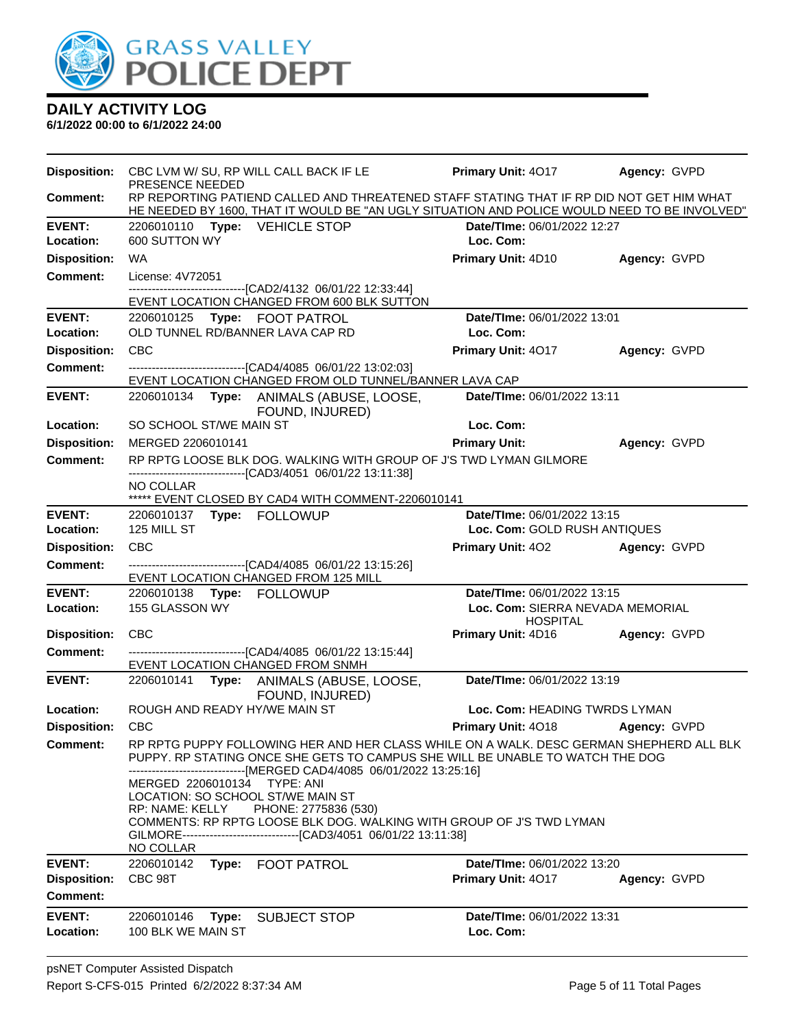

| <b>Disposition:</b>        | PRESENCE NEEDED                                                  | CBC LVM W/ SU, RP WILL CALL BACK IF LE                                                                                                                                                   | <b>Primary Unit: 4017</b>                       | Agency: GVPD        |
|----------------------------|------------------------------------------------------------------|------------------------------------------------------------------------------------------------------------------------------------------------------------------------------------------|-------------------------------------------------|---------------------|
| <b>Comment:</b>            |                                                                  | RP REPORTING PATIEND CALLED AND THREATENED STAFF STATING THAT IF RP DID NOT GET HIM WHAT<br>HE NEEDED BY 1600, THAT IT WOULD BE "AN UGLY SITUATION AND POLICE WOULD NEED TO BE INVOLVED" |                                                 |                     |
| <b>EVENT:</b>              | 2206010110 Type: VEHICLE STOP                                    |                                                                                                                                                                                          | Date/TIme: 06/01/2022 12:27                     |                     |
| <b>Location:</b>           | 600 SUTTON WY                                                    |                                                                                                                                                                                          | Loc. Com:                                       |                     |
| <b>Disposition:</b>        | <b>WA</b>                                                        |                                                                                                                                                                                          | <b>Primary Unit: 4D10</b>                       | Agency: GVPD        |
| <b>Comment:</b>            | License: 4V72051                                                 |                                                                                                                                                                                          |                                                 |                     |
|                            |                                                                  | --------------------[CAD2/4132 06/01/22 12:33:44]                                                                                                                                        |                                                 |                     |
| <b>EVENT:</b>              |                                                                  | EVENT LOCATION CHANGED FROM 600 BLK SUTTON                                                                                                                                               | Date/TIme: 06/01/2022 13:01                     |                     |
| Location:                  | 2206010125 Type: FOOT PATROL<br>OLD TUNNEL RD/BANNER LAVA CAP RD |                                                                                                                                                                                          | Loc. Com:                                       |                     |
| <b>Disposition:</b>        | <b>CBC</b>                                                       |                                                                                                                                                                                          | Primary Unit: 4017                              | Agency: GVPD        |
| <b>Comment:</b>            |                                                                  | -------------------------------[CAD4/4085 06/01/22 13:02:03]                                                                                                                             |                                                 |                     |
| <b>EVENT:</b>              |                                                                  | EVENT LOCATION CHANGED FROM OLD TUNNEL/BANNER LAVA CAP                                                                                                                                   | Date/TIme: 06/01/2022 13:11                     |                     |
|                            |                                                                  | 2206010134 Type: ANIMALS (ABUSE, LOOSE,<br>FOUND, INJURED)                                                                                                                               |                                                 |                     |
| Location:                  | SO SCHOOL ST/WE MAIN ST                                          |                                                                                                                                                                                          | Loc. Com:                                       |                     |
| <b>Disposition:</b>        | MERGED 2206010141                                                |                                                                                                                                                                                          | <b>Primary Unit:</b>                            | Agency: GVPD        |
| <b>Comment:</b>            |                                                                  | RP RPTG LOOSE BLK DOG. WALKING WITH GROUP OF J'S TWD LYMAN GILMORE<br>------------------------------[CAD3/4051_06/01/22 13:11:38]                                                        |                                                 |                     |
|                            | NO COLLAR                                                        |                                                                                                                                                                                          |                                                 |                     |
|                            |                                                                  | ***** EVENT CLOSED BY CAD4 WITH COMMENT-2206010141                                                                                                                                       |                                                 |                     |
| <b>EVENT:</b>              |                                                                  |                                                                                                                                                                                          | Date/TIme: 06/01/2022 13:15                     |                     |
| Location:                  | 125 MILL ST                                                      |                                                                                                                                                                                          | Loc. Com: GOLD RUSH ANTIQUES                    |                     |
| <b>Disposition:</b>        | CBC                                                              |                                                                                                                                                                                          | Primary Unit: 402 Agency: GVPD                  |                     |
| <b>Comment:</b>            |                                                                  | -------------------------------[CAD4/4085 06/01/22 13:15:26]<br>EVENT LOCATION CHANGED FROM 125 MILL                                                                                     |                                                 |                     |
|                            |                                                                  |                                                                                                                                                                                          |                                                 |                     |
| <b>EVENT:</b>              | 2206010138 Type: FOLLOWUP                                        |                                                                                                                                                                                          | Date/TIme: 06/01/2022 13:15                     |                     |
| Location:                  | 155 GLASSON WY                                                   |                                                                                                                                                                                          | Loc. Com: SIERRA NEVADA MEMORIAL                |                     |
|                            | <b>CBC</b>                                                       |                                                                                                                                                                                          | <b>HOSPITAL</b>                                 |                     |
| <b>Disposition:</b>        |                                                                  |                                                                                                                                                                                          | Primary Unit: 4D16                              | <b>Agency: GVPD</b> |
| <b>Comment:</b>            | EVENT LOCATION CHANGED FROM SNMH                                 | -------------------------------[CAD4/4085 06/01/22 13:15:44]                                                                                                                             |                                                 |                     |
| <b>EVENT:</b>              |                                                                  | 2206010141 Type: ANIMALS (ABUSE, LOOSE,                                                                                                                                                  | Date/TIme: 06/01/2022 13:19                     |                     |
|                            |                                                                  | FOUND, INJURED)                                                                                                                                                                          |                                                 |                     |
| Location:                  | ROUGH AND READY HY/WE MAIN ST                                    |                                                                                                                                                                                          | Loc. Com: HEADING TWRDS LYMAN                   |                     |
| <b>Disposition:</b>        | <b>CBC</b>                                                       |                                                                                                                                                                                          | Primary Unit: 4018 Agency: GVPD                 |                     |
| Comment:                   |                                                                  | RP RPTG PUPPY FOLLOWING HER AND HER CLASS WHILE ON A WALK. DESC GERMAN SHEPHERD ALL BLK<br>PUPPY. RP STATING ONCE SHE GETS TO CAMPUS SHE WILL BE UNABLE TO WATCH THE DOG                 |                                                 |                     |
|                            | MERGED 2206010134 TYPE: ANI                                      | -----------[MERGED CAD4/4085_06/01/2022 13:25:16]                                                                                                                                        |                                                 |                     |
|                            | LOCATION: SO SCHOOL ST/WE MAIN ST                                |                                                                                                                                                                                          |                                                 |                     |
|                            | <b>RP: NAME: KELLY</b>                                           | PHONE: 2775836 (530)<br>COMMENTS: RP RPTG LOOSE BLK DOG. WALKING WITH GROUP OF J'S TWD LYMAN                                                                                             |                                                 |                     |
|                            |                                                                  | GILMORE----------------------------------[CAD3/4051 06/01/22 13:11:38]                                                                                                                   |                                                 |                     |
|                            | NO COLLAR                                                        |                                                                                                                                                                                          |                                                 |                     |
| <b>EVENT:</b>              | 2206010142                                                       | Type: FOOT PATROL                                                                                                                                                                        | Date/TIme: 06/01/2022 13:20                     |                     |
| <b>Disposition:</b>        | CBC 98T                                                          |                                                                                                                                                                                          | <b>Primary Unit: 4017</b>                       | Agency: GVPD        |
| Comment:                   |                                                                  |                                                                                                                                                                                          |                                                 |                     |
| <b>EVENT:</b><br>Location: | 2206010146<br>Type:<br>100 BLK WE MAIN ST                        | <b>SUBJECT STOP</b>                                                                                                                                                                      | <b>Date/Time: 06/01/2022 13:31</b><br>Loc. Com: |                     |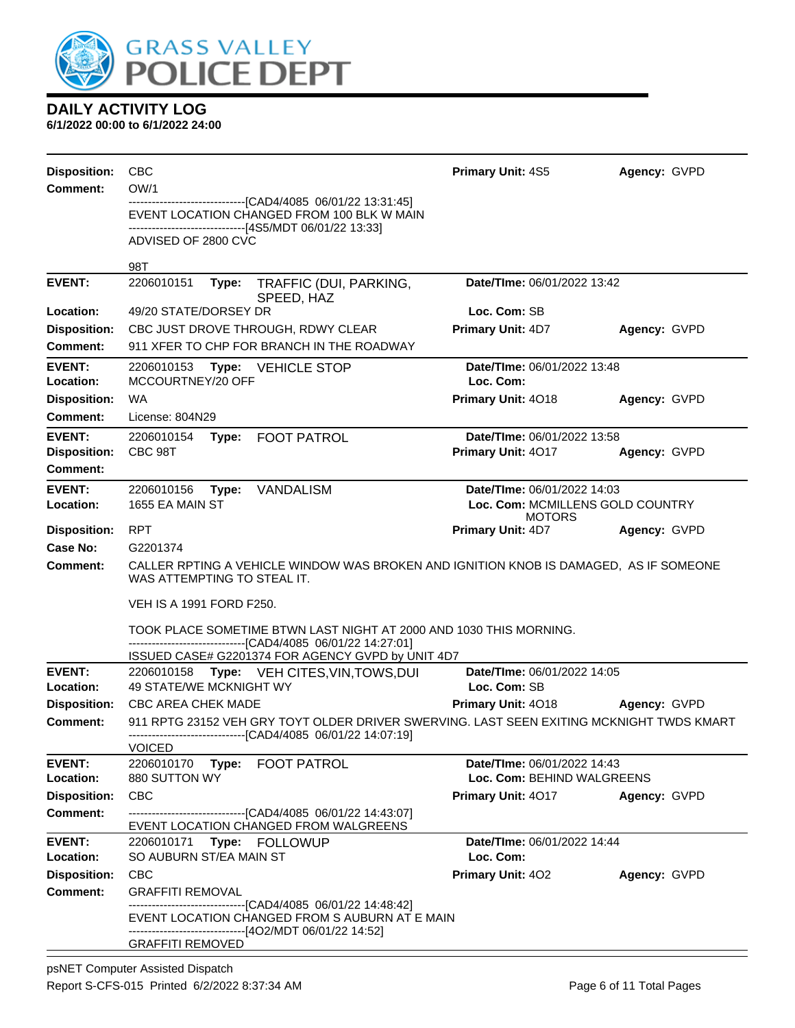

| <b>Disposition:</b> | <b>CBC</b>                                                                                                                                                                 | Primary Unit: 4S5                                 | Agency: GVPD |  |  |  |
|---------------------|----------------------------------------------------------------------------------------------------------------------------------------------------------------------------|---------------------------------------------------|--------------|--|--|--|
| <b>Comment:</b>     | OW/1<br>-----------------------[CAD4/4085 06/01/22 13:31:45]                                                                                                               |                                                   |              |  |  |  |
|                     | EVENT LOCATION CHANGED FROM 100 BLK W MAIN                                                                                                                                 |                                                   |              |  |  |  |
|                     | ------------------------------[4S5/MDT 06/01/22 13:33]<br>ADVISED OF 2800 CVC                                                                                              |                                                   |              |  |  |  |
|                     | 98T                                                                                                                                                                        |                                                   |              |  |  |  |
| <b>EVENT:</b>       | 2206010151<br>TRAFFIC (DUI, PARKING,<br>Type:<br>SPEED, HAZ                                                                                                                | Date/TIme: 06/01/2022 13:42                       |              |  |  |  |
| Location:           | 49/20 STATE/DORSEY DR                                                                                                                                                      | Loc. Com: SB                                      |              |  |  |  |
| <b>Disposition:</b> | CBC JUST DROVE THROUGH, RDWY CLEAR                                                                                                                                         | Primary Unit: 4D7                                 | Agency: GVPD |  |  |  |
| Comment:            | 911 XFER TO CHP FOR BRANCH IN THE ROADWAY                                                                                                                                  |                                                   |              |  |  |  |
| <b>EVENT:</b>       | 2206010153<br><b>Type: VEHICLE STOP</b>                                                                                                                                    | Date/TIme: 06/01/2022 13:48                       |              |  |  |  |
| Location:           | MCCOURTNEY/20 OFF                                                                                                                                                          | Loc. Com:                                         |              |  |  |  |
| <b>Disposition:</b> | WA                                                                                                                                                                         | Primary Unit: 4018                                | Agency: GVPD |  |  |  |
| <b>Comment:</b>     | License: 804N29                                                                                                                                                            |                                                   |              |  |  |  |
| <b>EVENT:</b>       | 2206010154<br><b>FOOT PATROL</b><br>Type:                                                                                                                                  | Date/TIme: 06/01/2022 13:58                       |              |  |  |  |
| <b>Disposition:</b> | CBC 98T                                                                                                                                                                    | Primary Unit: 4017                                | Agency: GVPD |  |  |  |
| Comment:            |                                                                                                                                                                            |                                                   |              |  |  |  |
| <b>EVENT:</b>       | 2206010156<br><b>VANDALISM</b><br>Type:                                                                                                                                    | Date/TIme: 06/01/2022 14:03                       |              |  |  |  |
| Location:           | 1655 EA MAIN ST                                                                                                                                                            | Loc. Com: MCMILLENS GOLD COUNTRY<br><b>MOTORS</b> |              |  |  |  |
| <b>Disposition:</b> | RPT                                                                                                                                                                        | <b>Primary Unit: 4D7</b>                          | Agency: GVPD |  |  |  |
| Case No:            | G2201374                                                                                                                                                                   |                                                   |              |  |  |  |
| Comment:            | CALLER RPTING A VEHICLE WINDOW WAS BROKEN AND IGNITION KNOB IS DAMAGED, AS IF SOMEONE<br>WAS ATTEMPTING TO STEAL IT.                                                       |                                                   |              |  |  |  |
|                     | VEH IS A 1991 FORD F250.                                                                                                                                                   |                                                   |              |  |  |  |
|                     | TOOK PLACE SOMETIME BTWN LAST NIGHT AT 2000 AND 1030 THIS MORNING.                                                                                                         |                                                   |              |  |  |  |
|                     | ------------------------------[CAD4/4085  06/01/22 14:27:01]<br>ISSUED CASE# G2201374 FOR AGENCY GVPD by UNIT 4D7                                                          |                                                   |              |  |  |  |
| <b>EVENT:</b>       | 2206010158 Type: VEH CITES, VIN, TOWS, DUI                                                                                                                                 | Date/TIme: 06/01/2022 14:05                       |              |  |  |  |
| Location:           | 49 STATE/WE MCKNIGHT WY                                                                                                                                                    | Loc. Com: SB                                      |              |  |  |  |
| <b>Disposition:</b> | <b>CBC AREA CHEK MADE</b>                                                                                                                                                  | Primary Unit: 4018                                | Agency: GVPD |  |  |  |
| <b>Comment:</b>     | 911 RPTG 23152 VEH GRY TOYT OLDER DRIVER SWERVING. LAST SEEN EXITING MCKNIGHT TWDS KMART                                                                                   |                                                   |              |  |  |  |
|                     | ---------------------[CAD4/4085 06/01/22 14:07:19]<br><b>VOICED</b>                                                                                                        |                                                   |              |  |  |  |
| <b>EVENT:</b>       | <b>FOOT PATROL</b><br>2206010170<br>Type:                                                                                                                                  | Date/TIme: 06/01/2022 14:43                       |              |  |  |  |
| Location:           | 880 SUTTON WY                                                                                                                                                              | Loc. Com: BEHIND WALGREENS                        |              |  |  |  |
| <b>Disposition:</b> | CBC                                                                                                                                                                        | Primary Unit: 4017                                | Agency: GVPD |  |  |  |
| <b>Comment:</b>     | ------------------------------[CAD4/4085 06/01/22 14:43:07]<br>EVENT LOCATION CHANGED FROM WALGREENS                                                                       |                                                   |              |  |  |  |
| <b>EVENT:</b>       | 2206010171 Type: FOLLOWUP                                                                                                                                                  | Date/TIme: 06/01/2022 14:44                       |              |  |  |  |
| Location:           | SO AUBURN ST/EA MAIN ST                                                                                                                                                    | Loc. Com:                                         |              |  |  |  |
| <b>Disposition:</b> | CBC                                                                                                                                                                        | Primary Unit: 402                                 | Agency: GVPD |  |  |  |
| <b>Comment:</b>     | <b>GRAFFITI REMOVAL</b>                                                                                                                                                    |                                                   |              |  |  |  |
|                     | --------------------------------[CAD4/4085_06/01/22 14:48:42]<br>EVENT LOCATION CHANGED FROM S AUBURN AT E MAIN<br>-------------------------------[4O2/MDT 06/01/22 14:52] |                                                   |              |  |  |  |
|                     | <b>GRAFFITI REMOVED</b>                                                                                                                                                    |                                                   |              |  |  |  |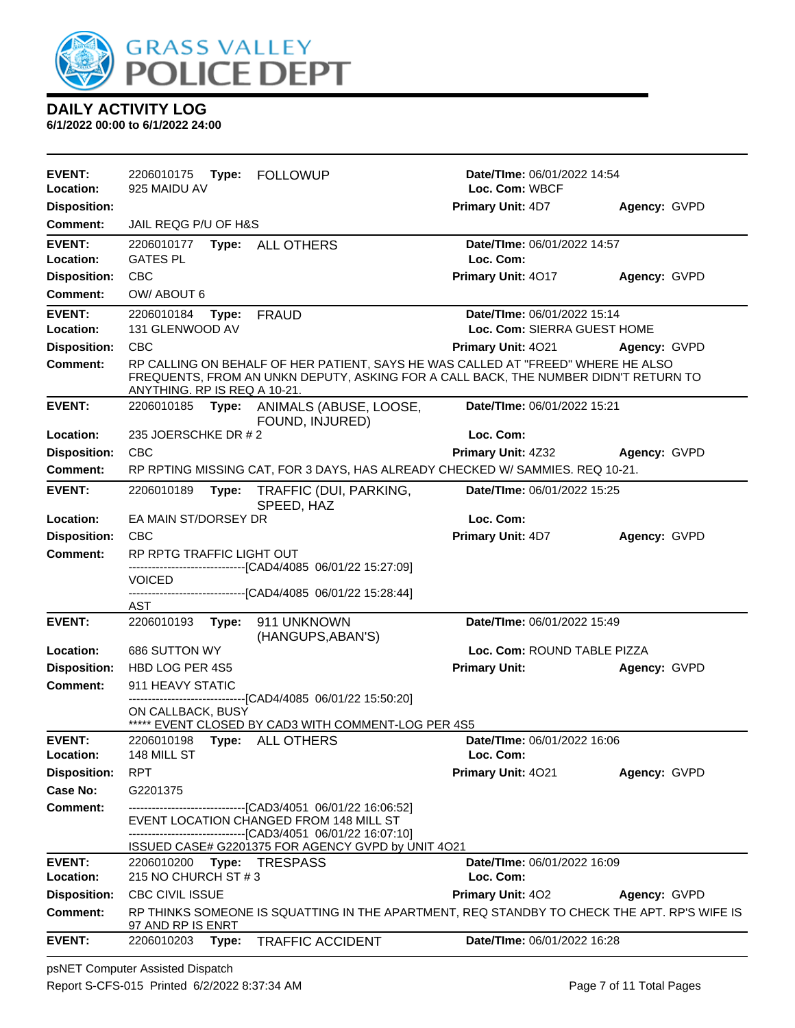

**6/1/2022 00:00 to 6/1/2022 24:00**

| <b>EVENT:</b><br>Location: | 2206010175<br>Type: FOLLOWUP<br>925 MAIDU AV                                                                                                                                                            | Date/TIme: 06/01/2022 14:54<br>Loc. Com: WBCF |              |
|----------------------------|---------------------------------------------------------------------------------------------------------------------------------------------------------------------------------------------------------|-----------------------------------------------|--------------|
| <b>Disposition:</b>        |                                                                                                                                                                                                         | Primary Unit: 4D7                             | Agency: GVPD |
| <b>Comment:</b>            | JAIL REQG P/U OF H&S                                                                                                                                                                                    |                                               |              |
| <b>EVENT:</b><br>Location: | 2206010177<br>Type: ALL OTHERS<br><b>GATES PL</b>                                                                                                                                                       | Date/TIme: 06/01/2022 14:57<br>Loc. Com:      |              |
| <b>Disposition:</b>        | <b>CBC</b>                                                                                                                                                                                              | Primary Unit: 4017                            | Agency: GVPD |
| <b>Comment:</b>            | OW/ABOUT 6                                                                                                                                                                                              |                                               |              |
| <b>EVENT:</b>              | 2206010184<br>Type:<br><b>FRAUD</b>                                                                                                                                                                     | Date/TIme: 06/01/2022 15:14                   |              |
| Location:                  | 131 GLENWOOD AV                                                                                                                                                                                         | Loc. Com: SIERRA GUEST HOME                   |              |
| <b>Disposition:</b>        | <b>CBC</b>                                                                                                                                                                                              | <b>Primary Unit: 4021</b>                     | Agency: GVPD |
| <b>Comment:</b>            | RP CALLING ON BEHALF OF HER PATIENT, SAYS HE WAS CALLED AT "FREED" WHERE HE ALSO<br>FREQUENTS, FROM AN UNKN DEPUTY, ASKING FOR A CALL BACK, THE NUMBER DIDN'T RETURN TO<br>ANYTHING. RP IS REQ A 10-21. |                                               |              |
| <b>EVENT:</b>              | 2206010185 Type: ANIMALS (ABUSE, LOOSE,<br>FOUND, INJURED)                                                                                                                                              | Date/TIme: 06/01/2022 15:21                   |              |
| Location:                  | 235 JOERSCHKE DR # 2                                                                                                                                                                                    | Loc. Com:                                     |              |
| <b>Disposition:</b>        | CBC                                                                                                                                                                                                     | <b>Primary Unit: 4Z32</b>                     | Agency: GVPD |
| Comment:                   | RP RPTING MISSING CAT, FOR 3 DAYS, HAS ALREADY CHECKED W/ SAMMIES. REQ 10-21.                                                                                                                           |                                               |              |
| <b>EVENT:</b>              | 2206010189<br>Type:<br>TRAFFIC (DUI, PARKING,<br>SPEED, HAZ                                                                                                                                             | Date/TIme: 06/01/2022 15:25                   |              |
| Location:                  | EA MAIN ST/DORSEY DR                                                                                                                                                                                    | Loc. Com:                                     |              |
| <b>Disposition:</b>        | <b>CBC</b>                                                                                                                                                                                              | Primary Unit: 4D7                             | Agency: GVPD |
| <b>Comment:</b>            | RP RPTG TRAFFIC LIGHT OUT                                                                                                                                                                               |                                               |              |
|                            | -------------------------------[CAD4/4085 06/01/22 15:27:09]<br><b>VOICED</b>                                                                                                                           |                                               |              |
|                            | -------------------------[CAD4/4085 06/01/22 15:28:44]                                                                                                                                                  |                                               |              |
| <b>EVENT:</b>              | AST                                                                                                                                                                                                     | Date/TIme: 06/01/2022 15:49                   |              |
|                            | 2206010193<br>Type: 911 UNKNOWN<br>(HANGUPS, ABAN'S)                                                                                                                                                    |                                               |              |
| Location:                  | 686 SUTTON WY                                                                                                                                                                                           | Loc. Com: ROUND TABLE PIZZA                   |              |
| <b>Disposition:</b>        | HBD LOG PER 4S5                                                                                                                                                                                         | <b>Primary Unit:</b>                          | Agency: GVPD |
| <b>Comment:</b>            | 911 HEAVY STATIC                                                                                                                                                                                        |                                               |              |
|                            | -----------------------[CAD4/4085_06/01/22 15:50:20]<br>ON CALLBACK, BUSY                                                                                                                               |                                               |              |
|                            | ***** EVENT CLOSED BY CAD3 WITH COMMENT-LOG PER 4S5                                                                                                                                                     |                                               |              |
| <b>EVENT:</b>              | 2206010198    Type: ALL OTHERS                                                                                                                                                                          | Date/TIme: 06/01/2022 16:06                   |              |
| Location:                  | 148 MILL ST                                                                                                                                                                                             | Loc. Com:                                     |              |
| <b>Disposition:</b>        | <b>RPT</b>                                                                                                                                                                                              | Primary Unit: 4021                            | Agency: GVPD |
| Case No:                   | G2201375                                                                                                                                                                                                |                                               |              |
| <b>Comment:</b>            | ------------------------------[CAD3/4051 06/01/22 16:06:52]<br>EVENT LOCATION CHANGED FROM 148 MILL ST<br>-------------------------------[CAD3/4051 06/01/22 16:07:10]                                  |                                               |              |
| <b>EVENT:</b>              | ISSUED CASE# G2201375 FOR AGENCY GVPD by UNIT 4021<br>2206010200 Type: TRESPASS                                                                                                                         | Date/TIme: 06/01/2022 16:09                   |              |
| Location:                  | 215 NO CHURCH ST # 3                                                                                                                                                                                    | Loc. Com:                                     |              |
| <b>Disposition:</b>        | <b>CBC CIVIL ISSUE</b>                                                                                                                                                                                  | <b>Primary Unit: 402</b>                      | Agency: GVPD |
| <b>Comment:</b>            | RP THINKS SOMEONE IS SQUATTING IN THE APARTMENT, REQ STANDBY TO CHECK THE APT. RP'S WIFE IS<br>97 AND RP IS ENRT                                                                                        |                                               |              |
| <b>EVENT:</b>              | 2206010203<br>Type:<br><b>TRAFFIC ACCIDENT</b>                                                                                                                                                          | Date/TIme: 06/01/2022 16:28                   |              |

psNET Computer Assisted Dispatch Report S-CFS-015 Printed 6/2/2022 8:37:34 AM Page 7 of 11 Total Pages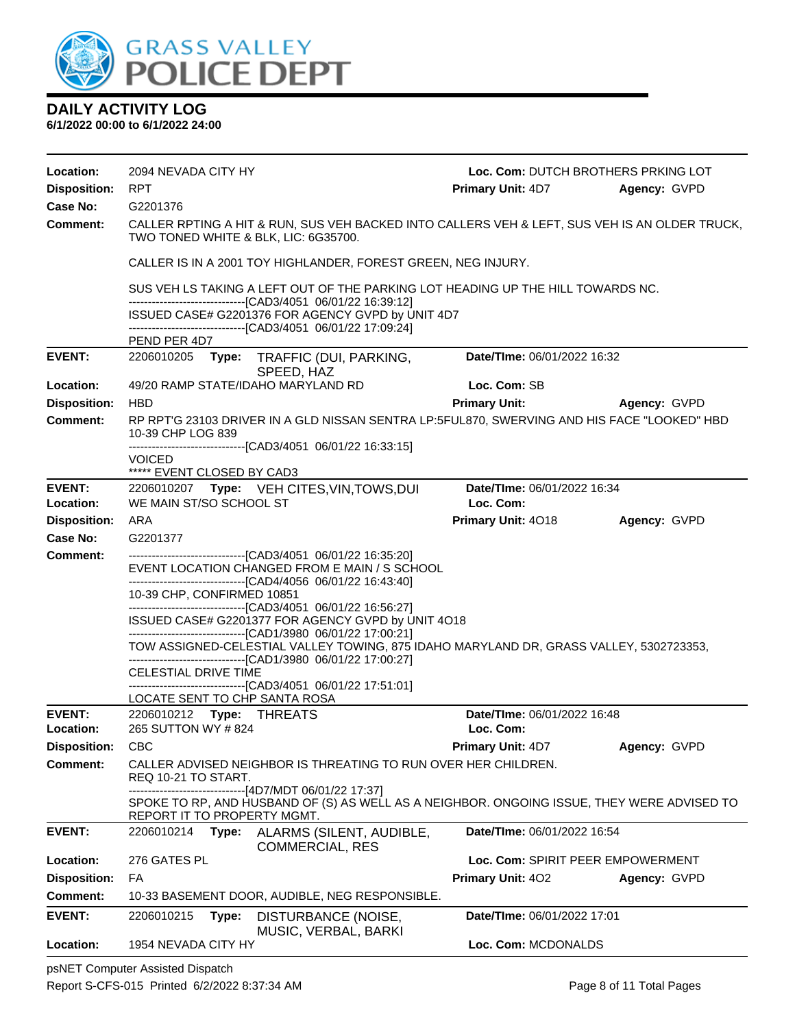

#### **DAILY ACTIVITY LOG 6/1/2022 00:00 to 6/1/2022 24:00**

| Location:           | 2094 NEVADA CITY HY                                                                                                                            |       |                                                                                                                                                       | Loc. Com: DUTCH BROTHERS PRKING LOT |              |  |
|---------------------|------------------------------------------------------------------------------------------------------------------------------------------------|-------|-------------------------------------------------------------------------------------------------------------------------------------------------------|-------------------------------------|--------------|--|
| <b>Disposition:</b> | <b>RPT</b>                                                                                                                                     |       |                                                                                                                                                       | <b>Primary Unit: 4D7</b>            | Agency: GVPD |  |
| Case No:            | G2201376                                                                                                                                       |       |                                                                                                                                                       |                                     |              |  |
| <b>Comment:</b>     |                                                                                                                                                |       | CALLER RPTING A HIT & RUN, SUS VEH BACKED INTO CALLERS VEH & LEFT, SUS VEH IS AN OLDER TRUCK,<br>TWO TONED WHITE & BLK, LIC: 6G35700.                 |                                     |              |  |
|                     |                                                                                                                                                |       | CALLER IS IN A 2001 TOY HIGHLANDER, FOREST GREEN, NEG INJURY.                                                                                         |                                     |              |  |
|                     | SUS VEH LS TAKING A LEFT OUT OF THE PARKING LOT HEADING UP THE HILL TOWARDS NC.<br>------------------------------[CAD3/4051 06/01/22 16:39:12] |       |                                                                                                                                                       |                                     |              |  |
|                     |                                                                                                                                                |       | ISSUED CASE# G2201376 FOR AGENCY GVPD by UNIT 4D7                                                                                                     |                                     |              |  |
|                     | PEND PER 4D7                                                                                                                                   |       | -------------------------------[CAD3/4051 06/01/22 17:09:24]                                                                                          |                                     |              |  |
| <b>EVENT:</b>       |                                                                                                                                                |       | 2206010205 Type: TRAFFIC (DUI, PARKING,<br>SPEED, HAZ                                                                                                 | Date/TIme: 06/01/2022 16:32         |              |  |
| Location:           |                                                                                                                                                |       | 49/20 RAMP STATE/IDAHO MARYLAND RD                                                                                                                    | Loc. Com: SB                        |              |  |
| <b>Disposition:</b> | <b>HBD</b>                                                                                                                                     |       |                                                                                                                                                       | <b>Primary Unit:</b>                | Agency: GVPD |  |
| <b>Comment:</b>     | 10-39 CHP LOG 839                                                                                                                              |       | RP RPT'G 23103 DRIVER IN A GLD NISSAN SENTRA LP:5FUL870, SWERVING AND HIS FACE "LOOKED" HBD                                                           |                                     |              |  |
|                     | <b>VOICED</b>                                                                                                                                  |       | ------------------------------------[CAD3/4051_06/01/22 16:33:15]                                                                                     |                                     |              |  |
|                     | ***** EVENT CLOSED BY CAD3                                                                                                                     |       |                                                                                                                                                       |                                     |              |  |
| <b>EVENT:</b>       |                                                                                                                                                |       | 2206010207 Type: VEH CITES, VIN, TOWS, DUI                                                                                                            | Date/TIme: 06/01/2022 16:34         |              |  |
| Location:           | WE MAIN ST/SO SCHOOL ST                                                                                                                        |       |                                                                                                                                                       | Loc. Com:                           |              |  |
| <b>Disposition:</b> | ARA                                                                                                                                            |       |                                                                                                                                                       | Primary Unit: 4018                  | Agency: GVPD |  |
| Case No:            | G2201377                                                                                                                                       |       |                                                                                                                                                       |                                     |              |  |
| <b>Comment:</b>     |                                                                                                                                                |       | -------------------------------[CAD3/4051 06/01/22 16:35:20]<br>EVENT LOCATION CHANGED FROM E MAIN / S SCHOOL                                         |                                     |              |  |
|                     | 10-39 CHP, CONFIRMED 10851                                                                                                                     |       | -------------------------------[CAD4/4056 06/01/22 16:43:40]                                                                                          |                                     |              |  |
|                     |                                                                                                                                                |       | -------------------------------[CAD3/4051 06/01/22 16:56:27]                                                                                          |                                     |              |  |
|                     |                                                                                                                                                |       | ISSUED CASE# G2201377 FOR AGENCY GVPD by UNIT 4O18                                                                                                    |                                     |              |  |
|                     |                                                                                                                                                |       | ------------------------------[CAD1/3980 06/01/22 17:00:21]<br>TOW ASSIGNED-CELESTIAL VALLEY TOWING, 875 IDAHO MARYLAND DR, GRASS VALLEY, 5302723353, |                                     |              |  |
|                     |                                                                                                                                                |       | -------------------------------[CAD1/3980 06/01/22 17:00:27]                                                                                          |                                     |              |  |
|                     | CELESTIAL DRIVE TIME                                                                                                                           |       | -------------------------------[CAD3/4051_06/01/22 17:51:01]                                                                                          |                                     |              |  |
|                     |                                                                                                                                                |       | LOCATE SENT TO CHP SANTA ROSA                                                                                                                         |                                     |              |  |
| <b>EVENT:</b>       | 2206010212 Type: THREATS                                                                                                                       |       |                                                                                                                                                       | Date/TIme: 06/01/2022 16:48         |              |  |
| Location:           | 265 SUTTON WY #824                                                                                                                             |       |                                                                                                                                                       | Loc. Com:                           |              |  |
| <b>Disposition:</b> | <b>CBC</b>                                                                                                                                     |       |                                                                                                                                                       | Primary Unit: 4D7                   | Agency: GVPD |  |
| <b>Comment:</b>     | REQ 10-21 TO START.                                                                                                                            |       | CALLER ADVISED NEIGHBOR IS THREATING TO RUN OVER HER CHILDREN.                                                                                        |                                     |              |  |
|                     | REPORT IT TO PROPERTY MGMT.                                                                                                                    |       | ------------[4D7/MDT 06/01/22 17:37]<br>SPOKE TO RP, AND HUSBAND OF (S) AS WELL AS A NEIGHBOR. ONGOING ISSUE, THEY WERE ADVISED TO                    |                                     |              |  |
| <b>EVENT:</b>       | 2206010214                                                                                                                                     | Type: | ALARMS (SILENT, AUDIBLE,<br><b>COMMERCIAL, RES</b>                                                                                                    | Date/TIme: 06/01/2022 16:54         |              |  |
| Location:           | 276 GATES PL                                                                                                                                   |       |                                                                                                                                                       | Loc. Com: SPIRIT PEER EMPOWERMENT   |              |  |
| <b>Disposition:</b> | FA                                                                                                                                             |       |                                                                                                                                                       | <b>Primary Unit: 402</b>            | Agency: GVPD |  |
| <b>Comment:</b>     |                                                                                                                                                |       | 10-33 BASEMENT DOOR, AUDIBLE, NEG RESPONSIBLE.                                                                                                        |                                     |              |  |
| <b>EVENT:</b>       | 2206010215                                                                                                                                     | Type: | DISTURBANCE (NOISE,<br>MUSIC, VERBAL, BARKI                                                                                                           | <b>Date/TIme: 06/01/2022 17:01</b>  |              |  |
| Location:           | 1954 NEVADA CITY HY                                                                                                                            |       |                                                                                                                                                       | Loc. Com: MCDONALDS                 |              |  |

psNET Computer Assisted Dispatch Report S-CFS-015 Printed 6/2/2022 8:37:34 AM Page 8 of 11 Total Pages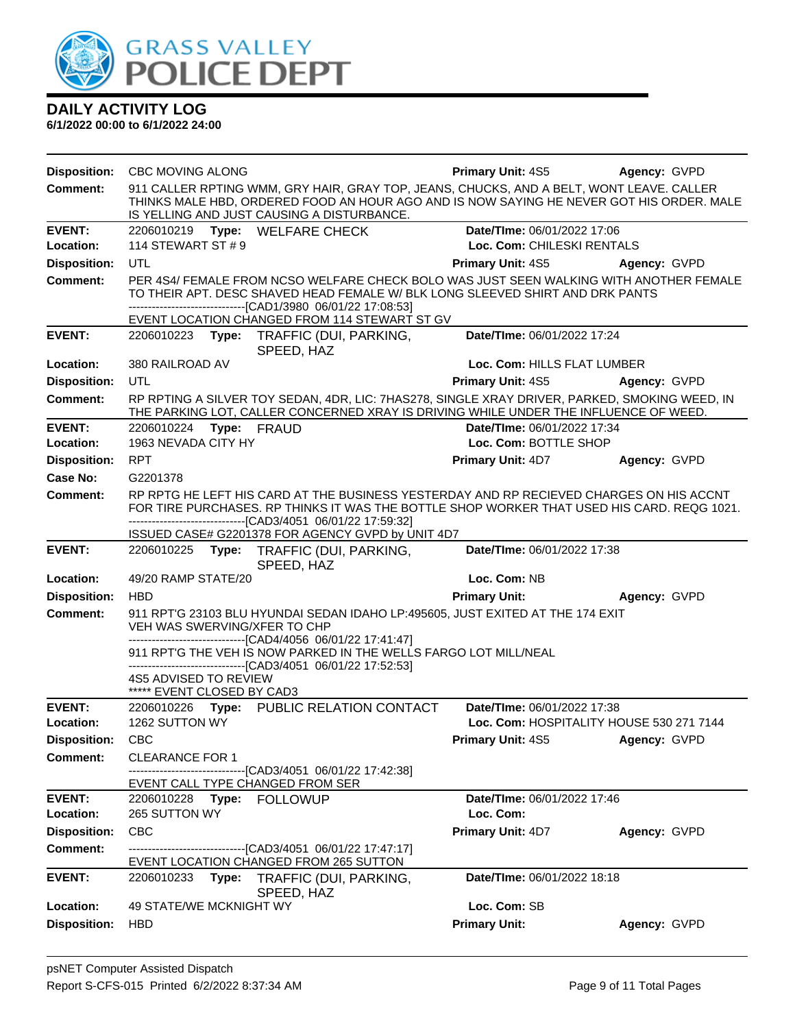

| <b>Disposition:</b> | <b>CBC MOVING ALONG</b>                                                             |       |                                                                                                                                                                                                                                                                                           | <b>Primary Unit: 4S5</b>    | Agency: GVPD                             |
|---------------------|-------------------------------------------------------------------------------------|-------|-------------------------------------------------------------------------------------------------------------------------------------------------------------------------------------------------------------------------------------------------------------------------------------------|-----------------------------|------------------------------------------|
| <b>Comment:</b>     |                                                                                     |       | 911 CALLER RPTING WMM, GRY HAIR, GRAY TOP, JEANS, CHUCKS, AND A BELT, WONT LEAVE. CALLER<br>THINKS MALE HBD, ORDERED FOOD AN HOUR AGO AND IS NOW SAYING HE NEVER GOT HIS ORDER. MALE<br>IS YELLING AND JUST CAUSING A DISTURBANCE.                                                        |                             |                                          |
| <b>EVENT:</b>       |                                                                                     |       | 2206010219 Type: WELFARE CHECK                                                                                                                                                                                                                                                            | Date/TIme: 06/01/2022 17:06 |                                          |
| Location:           | 114 STEWART ST # 9                                                                  |       |                                                                                                                                                                                                                                                                                           | Loc. Com: CHILESKI RENTALS  |                                          |
| <b>Disposition:</b> | <b>UTL</b>                                                                          |       |                                                                                                                                                                                                                                                                                           | Primary Unit: 4S5           | Agency: GVPD                             |
| <b>Comment:</b>     |                                                                                     |       | PER 4S4/ FEMALE FROM NCSO WELFARE CHECK BOLO WAS JUST SEEN WALKING WITH ANOTHER FEMALE<br>TO THEIR APT. DESC SHAVED HEAD FEMALE W/ BLK LONG SLEEVED SHIRT AND DRK PANTS<br>--------------------------------[CAD1/3980 06/01/22 17:08:53]<br>EVENT LOCATION CHANGED FROM 114 STEWART ST GV |                             |                                          |
| <b>EVENT:</b>       | 2206010223                                                                          | Type: | TRAFFIC (DUI, PARKING,<br>SPEED, HAZ                                                                                                                                                                                                                                                      | Date/TIme: 06/01/2022 17:24 |                                          |
| Location:           | 380 RAILROAD AV                                                                     |       |                                                                                                                                                                                                                                                                                           | Loc. Com: HILLS FLAT LUMBER |                                          |
| <b>Disposition:</b> | UTL                                                                                 |       |                                                                                                                                                                                                                                                                                           | <b>Primary Unit: 4S5</b>    | Agency: GVPD                             |
| <b>Comment:</b>     |                                                                                     |       | RP RPTING A SILVER TOY SEDAN, 4DR, LIC: 7HAS278, SINGLE XRAY DRIVER, PARKED, SMOKING WEED, IN<br>THE PARKING LOT, CALLER CONCERNED XRAY IS DRIVING WHILE UNDER THE INFLUENCE OF WEED.                                                                                                     |                             |                                          |
| <b>EVENT:</b>       | 2206010224 Type: FRAUD                                                              |       |                                                                                                                                                                                                                                                                                           | Date/TIme: 06/01/2022 17:34 |                                          |
| Location:           | 1963 NEVADA CITY HY                                                                 |       |                                                                                                                                                                                                                                                                                           | Loc. Com: BOTTLE SHOP       |                                          |
| <b>Disposition:</b> | <b>RPT</b>                                                                          |       |                                                                                                                                                                                                                                                                                           | <b>Primary Unit: 4D7</b>    | Agency: GVPD                             |
| Case No:            | G2201378                                                                            |       |                                                                                                                                                                                                                                                                                           |                             |                                          |
| Comment:            |                                                                                     |       | RP RPTG HE LEFT HIS CARD AT THE BUSINESS YESTERDAY AND RP RECIEVED CHARGES ON HIS ACCNT<br>FOR TIRE PURCHASES. RP THINKS IT WAS THE BOTTLE SHOP WORKER THAT USED HIS CARD. REQG 1021.<br>-------------------------------[CAD3/4051 06/01/22 17:59:32]                                     |                             |                                          |
|                     |                                                                                     |       | ISSUED CASE# G2201378 FOR AGENCY GVPD by UNIT 4D7                                                                                                                                                                                                                                         |                             |                                          |
| <b>EVENT:</b>       |                                                                                     |       | 2206010225 Type: TRAFFIC (DUI, PARKING,<br>SPEED, HAZ                                                                                                                                                                                                                                     | Date/TIme: 06/01/2022 17:38 |                                          |
| Location:           | 49/20 RAMP STATE/20                                                                 |       |                                                                                                                                                                                                                                                                                           | Loc. Com: NB                |                                          |
| <b>Disposition:</b> | <b>HBD</b>                                                                          |       |                                                                                                                                                                                                                                                                                           | <b>Primary Unit:</b>        | Agency: GVPD                             |
| <b>Comment:</b>     | VEH WAS SWERVING/XFER TO CHP<br>4S5 ADVISED TO REVIEW<br>***** EVENT CLOSED BY CAD3 |       | 911 RPT'G 23103 BLU HYUNDAI SEDAN IDAHO LP:495605, JUST EXITED AT THE 174 EXIT<br>-------------------------------[CAD4/4056 06/01/22 17:41:47]<br>911 RPT'G THE VEH IS NOW PARKED IN THE WELLS FARGO LOT MILL/NEAL<br>--------------------[CAD3/4051_06/01/22 17:52:53]                   |                             |                                          |
| <b>EVENT:</b>       |                                                                                     |       | 2206010226 Type: PUBLIC RELATION CONTACT                                                                                                                                                                                                                                                  | Date/TIme: 06/01/2022 17:38 |                                          |
| Location:           | 1262 SUTTON WY                                                                      |       |                                                                                                                                                                                                                                                                                           |                             | Loc. Com: HOSPITALITY HOUSE 530 271 7144 |
| <b>Disposition:</b> | <b>CBC</b>                                                                          |       |                                                                                                                                                                                                                                                                                           | Primary Unit: 4S5           | Agency: GVPD                             |
| <b>Comment:</b>     | <b>CLEARANCE FOR 1</b>                                                              |       | ------[CAD3/4051 06/01/22 17:42:38]<br>EVENT CALL TYPE CHANGED FROM SER                                                                                                                                                                                                                   |                             |                                          |
| <b>EVENT:</b>       | 2206010228 Type: FOLLOWUP                                                           |       |                                                                                                                                                                                                                                                                                           | Date/TIme: 06/01/2022 17:46 |                                          |
| Location:           | 265 SUTTON WY                                                                       |       |                                                                                                                                                                                                                                                                                           | Loc. Com:                   |                                          |
| <b>Disposition:</b> | <b>CBC</b>                                                                          |       |                                                                                                                                                                                                                                                                                           | Primary Unit: 4D7           | Agency: GVPD                             |
| <b>Comment:</b>     |                                                                                     |       | -------------------[CAD3/4051_06/01/22 17:47:17]<br>EVENT LOCATION CHANGED FROM 265 SUTTON                                                                                                                                                                                                |                             |                                          |
| <b>EVENT:</b>       |                                                                                     |       | 2206010233 Type: TRAFFIC (DUI, PARKING,<br>SPEED, HAZ                                                                                                                                                                                                                                     | Date/TIme: 06/01/2022 18:18 |                                          |
| Location:           | 49 STATE/WE MCKNIGHT WY                                                             |       |                                                                                                                                                                                                                                                                                           | Loc. Com: SB                |                                          |
| <b>Disposition:</b> | <b>HBD</b>                                                                          |       |                                                                                                                                                                                                                                                                                           | <b>Primary Unit:</b>        | Agency: GVPD                             |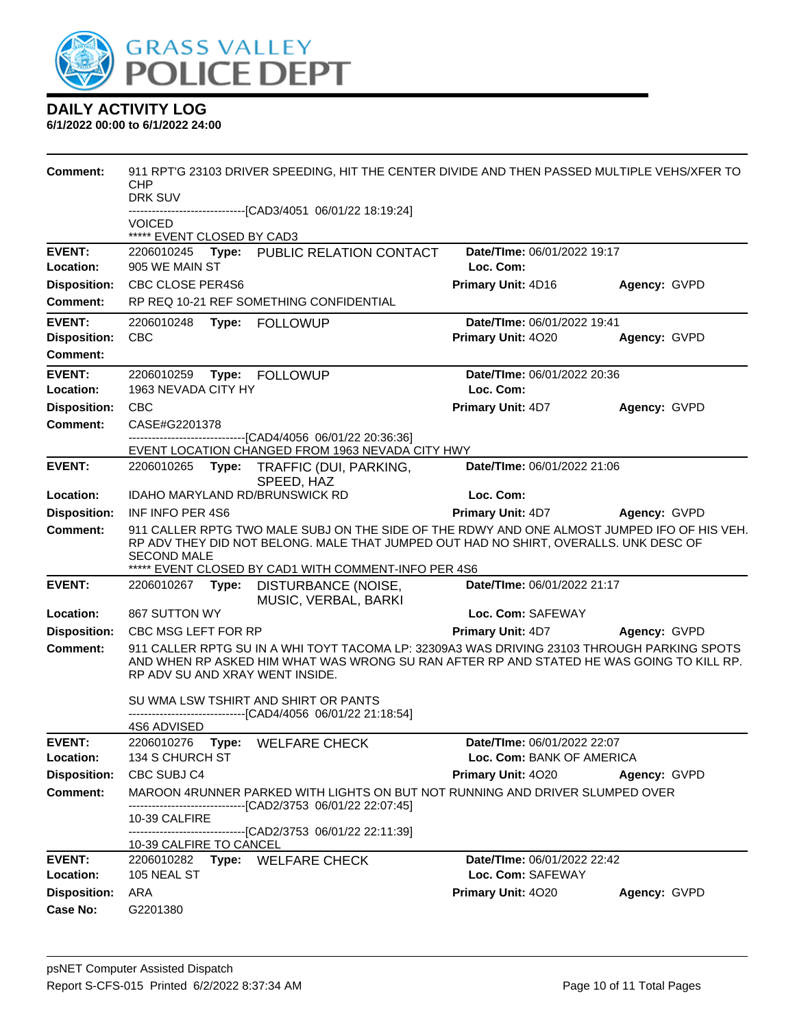

| <b>Comment:</b>                        | 911 RPT'G 23103 DRIVER SPEEDING, HIT THE CENTER DIVIDE AND THEN PASSED MULTIPLE VEHS/XFER TO<br>CHP<br>DRK SUV<br>------------------------[CAD3/4051_06/01/22 18:19:24]                                                    |                                                          |              |
|----------------------------------------|----------------------------------------------------------------------------------------------------------------------------------------------------------------------------------------------------------------------------|----------------------------------------------------------|--------------|
|                                        | <b>VOICED</b>                                                                                                                                                                                                              |                                                          |              |
|                                        | ***** EVENT CLOSED BY CAD3                                                                                                                                                                                                 |                                                          |              |
| <b>EVENT:</b><br>Location:             | 2206010245 Type: PUBLIC RELATION CONTACT<br>905 WE MAIN ST                                                                                                                                                                 | Date/TIme: 06/01/2022 19:17<br>Loc. Com:                 |              |
| <b>Disposition:</b>                    | CBC CLOSE PER4S6                                                                                                                                                                                                           | Primary Unit: 4D16                                       | Agency: GVPD |
| <b>Comment:</b>                        | RP REQ 10-21 REF SOMETHING CONFIDENTIAL                                                                                                                                                                                    |                                                          |              |
| <b>EVENT:</b>                          |                                                                                                                                                                                                                            | Date/TIme: 06/01/2022 19:41                              |              |
| <b>Disposition:</b><br><b>Comment:</b> | CBC                                                                                                                                                                                                                        | Primary Unit: 4020                                       | Agency: GVPD |
| <b>EVENT:</b>                          |                                                                                                                                                                                                                            | Date/TIme: 06/01/2022 20:36                              |              |
| Location:                              | 1963 NEVADA CITY HY                                                                                                                                                                                                        | Loc. Com:                                                |              |
| <b>Disposition:</b>                    | <b>CBC</b>                                                                                                                                                                                                                 | Primary Unit: 4D7                                        | Agency: GVPD |
| <b>Comment:</b>                        | CASE#G2201378<br>-------------------------------[CAD4/4056 06/01/22 20:36:36]                                                                                                                                              |                                                          |              |
|                                        | EVENT LOCATION CHANGED FROM 1963 NEVADA CITY HWY                                                                                                                                                                           |                                                          |              |
| <b>EVENT:</b>                          | Type: TRAFFIC (DUI, PARKING,<br>2206010265<br>SPEED, HAZ                                                                                                                                                                   | Date/TIme: 06/01/2022 21:06                              |              |
| Location:                              | <b>IDAHO MARYLAND RD/BRUNSWICK RD</b>                                                                                                                                                                                      | Loc. Com:                                                |              |
| <b>Disposition:</b>                    | INF INFO PER 4S6                                                                                                                                                                                                           | <b>Primary Unit: 4D7</b>                                 | Agency: GVPD |
| <b>Comment:</b>                        | 911 CALLER RPTG TWO MALE SUBJ ON THE SIDE OF THE RDWY AND ONE ALMOST JUMPED IFO OF HIS VEH.<br>RP ADV THEY DID NOT BELONG. MALE THAT JUMPED OUT HAD NO SHIRT, OVERALLS. UNK DESC OF<br><b>SECOND MALE</b>                  |                                                          |              |
| <b>EVENT:</b>                          | ***** EVENT CLOSED BY CAD1 WITH COMMENT-INFO PER 4S6<br>2206010267 <b>Type:</b><br>DISTURBANCE (NOISE,                                                                                                                     | Date/TIme: 06/01/2022 21:17                              |              |
|                                        | MUSIC, VERBAL, BARKI                                                                                                                                                                                                       |                                                          |              |
| Location:                              | 867 SUTTON WY                                                                                                                                                                                                              | Loc. Com: SAFEWAY                                        |              |
| <b>Disposition:</b>                    | CBC MSG LEFT FOR RP                                                                                                                                                                                                        | Primary Unit: 4D7                                        | Agency: GVPD |
| <b>Comment:</b>                        | 911 CALLER RPTG SU IN A WHI TOYT TACOMA LP: 32309A3 WAS DRIVING 23103 THROUGH PARKING SPOTS<br>AND WHEN RP ASKED HIM WHAT WAS WRONG SU RAN AFTER RP AND STATED HE WAS GOING TO KILL RP.<br>RP ADV SU AND XRAY WENT INSIDE. |                                                          |              |
|                                        | SU WMA LSW TSHIRT AND SHIRT OR PANTS<br>--------------[CAD4/4056_06/01/22 21:18:54]                                                                                                                                        |                                                          |              |
|                                        | 4S6 ADVISED                                                                                                                                                                                                                |                                                          |              |
| <b>EVENT:</b><br>Location:             | 2206010276 Type: WELFARE CHECK<br>134 S CHURCH ST                                                                                                                                                                          | Date/TIme: 06/01/2022 22:07<br>Loc. Com: BANK OF AMERICA |              |
| <b>Disposition:</b>                    | CBC SUBJ C4                                                                                                                                                                                                                | Primary Unit: 4020                                       | Agency: GVPD |
| <b>Comment:</b>                        | MAROON 4RUNNER PARKED WITH LIGHTS ON BUT NOT RUNNING AND DRIVER SLUMPED OVER                                                                                                                                               |                                                          |              |
|                                        | ------------------------------[CAD2/3753_06/01/22_22:07:45]<br>10-39 CALFIRE                                                                                                                                               |                                                          |              |
|                                        | ------------------------------[CAD2/3753 06/01/22 22:11:39]<br>10-39 CALFIRE TO CANCEL                                                                                                                                     |                                                          |              |
| <b>EVENT:</b>                          | 2206010282 Type: WELFARE CHECK                                                                                                                                                                                             | Date/TIme: 06/01/2022 22:42                              |              |
| Location:                              | 105 NEAL ST                                                                                                                                                                                                                | Loc. Com: SAFEWAY                                        |              |
| <b>Disposition:</b>                    | ARA                                                                                                                                                                                                                        | Primary Unit: 4020                                       | Agency: GVPD |
| Case No:                               | G2201380                                                                                                                                                                                                                   |                                                          |              |